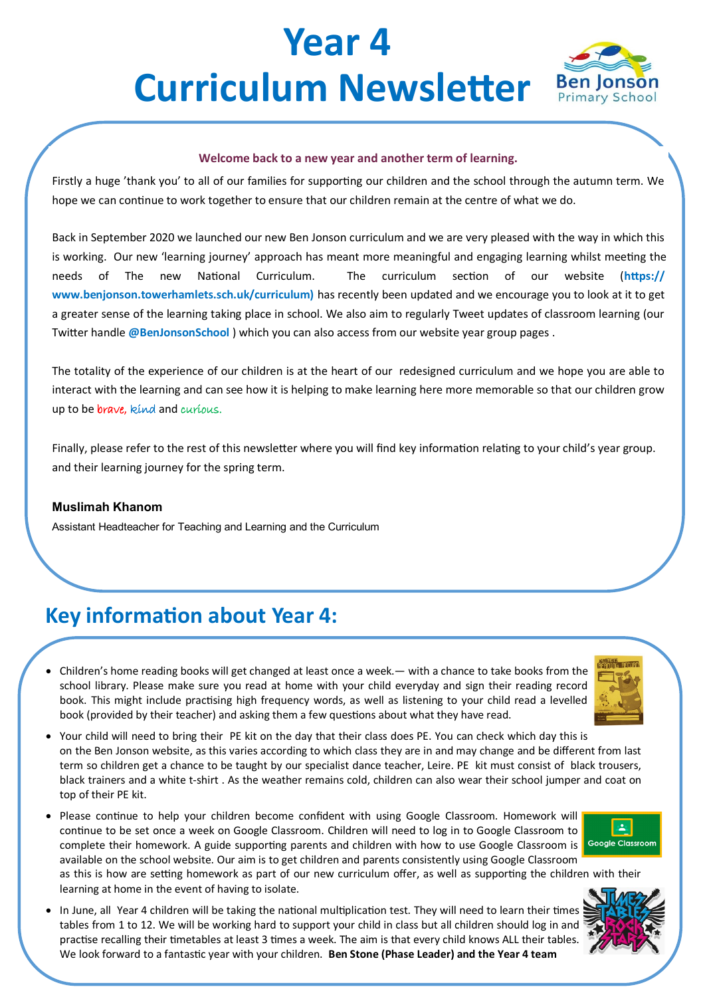# **Year 4 Curriculum Newsletter** Ben Jonson



#### **Welcome back to a new year and another term of learning.**

Firstly a huge 'thank you' to all of our families for supporting our children and the school through the autumn term. We hope we can continue to work together to ensure that our children remain at the centre of what we do.

Back in September 2020 we launched our new Ben Jonson curriculum and we are very pleased with the way in which this is working. Our new 'learning journey' approach has meant more meaningful and engaging learning whilst meeting the needs of The new National Curriculum. The curriculum section of our website (**https:// www.benjonson.towerhamlets.sch.uk/curriculum)** has recently been updated and we encourage you to look at it to get a greater sense of the learning taking place in school. We also aim to regularly Tweet updates of classroom learning (our Twitter handle **@BenJonsonSchool** ) which you can also access from our website year group pages .

The totality of the experience of our children is at the heart of our redesigned curriculum and we hope you are able to interact with the learning and can see how it is helping to make learning here more memorable so that our children grow up to be *brave*, kind and curious.

Finally, please refer to the rest of this newsletter where you will find key information relating to your child's year group. and their learning journey for the spring term.

#### **Muslimah Khanom**

Assistant Headteacher for Teaching and Learning and the Curriculum

## **Key information about Year 4:**

• Children's home reading books will get changed at least once a week.— with a chance to take books from the school library. Please make sure you read at home with your child everyday and sign their reading record book. This might include practising high frequency words, as well as listening to your child read a levelled book (provided by their teacher) and asking them a few questions about what they have read.



- Your child will need to bring their PE kit on the day that their class does PE. You can check which day this is on the Ben Jonson website, as this varies according to which class they are in and may change and be different from last term so children get a chance to be taught by our specialist dance teacher, Leire. PE kit must consist of black trousers, black trainers and a white t-shirt . As the weather remains cold, children can also wear their school jumper and coat on top of their PE kit.
- Please continue to help your children become confident with using Google Classroom. Homework will continue to be set once a week on Google Classroom. Children will need to log in to Google Classroom to complete their homework. A guide supporting parents and children with how to use Google Classroom is available on the school website. Our aim is to get children and parents consistently using Google Classroom



- as this is how are setting homework as part of our new curriculum offer, as well as supporting the children with their learning at home in the event of having to isolate.
- In June, all Year 4 children will be taking the national multiplication test. They will need to learn their times tables from 1 to 12. We will be working hard to support your child in class but all children should log in and practise recalling their timetables at least 3 times a week. The aim is that every child knows ALL their tables. We look forward to a fantastic year with your children. **Ben Stone (Phase Leader) and the Year 4 team**